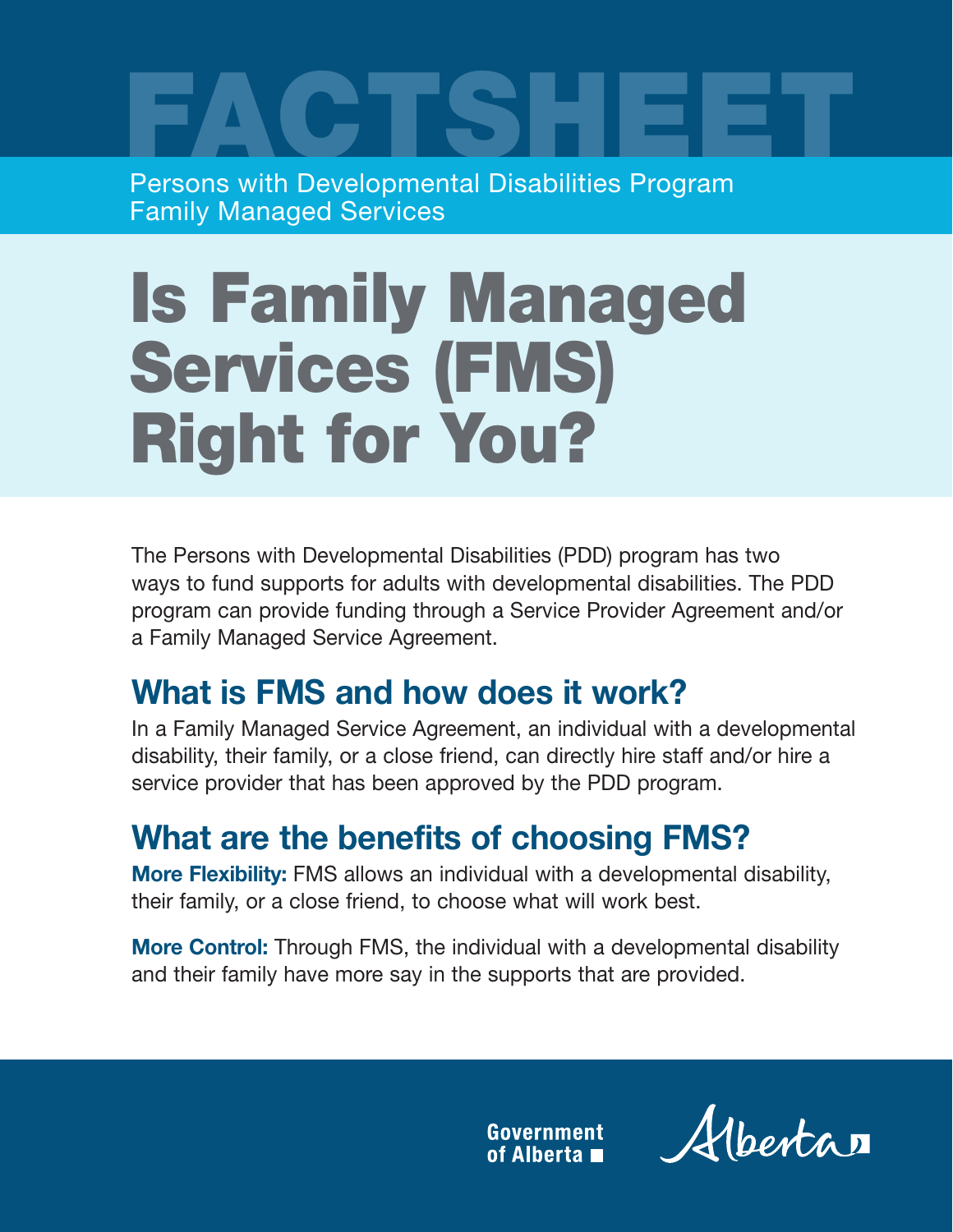FACTSHEET Persons with Developmental Disabilities Program Family Managed Services

# Is Family Managed Services (FMS) Right for You?

The Persons with Developmental Disabilities (PDD) program has two ways to fund supports for adults with developmental disabilities. The PDD program can provide funding through a Service Provider Agreement and/or a Family Managed Service Agreement.

# **What is FMS and how does it work?**

In a Family Managed Service Agreement, an individual with a developmental disability, their family, or a close friend, can directly hire staff and/or hire a service provider that has been approved by the PDD program.

# **What are the benefits of choosing FMS?**

**More Flexibility:** FMS allows an individual with a developmental disability, their family, or a close friend, to choose what will work best.

**More Control:** Through FMS, the individual with a developmental disability and their family have more say in the supports that are provided.

> **Government** of Alberta

Alberta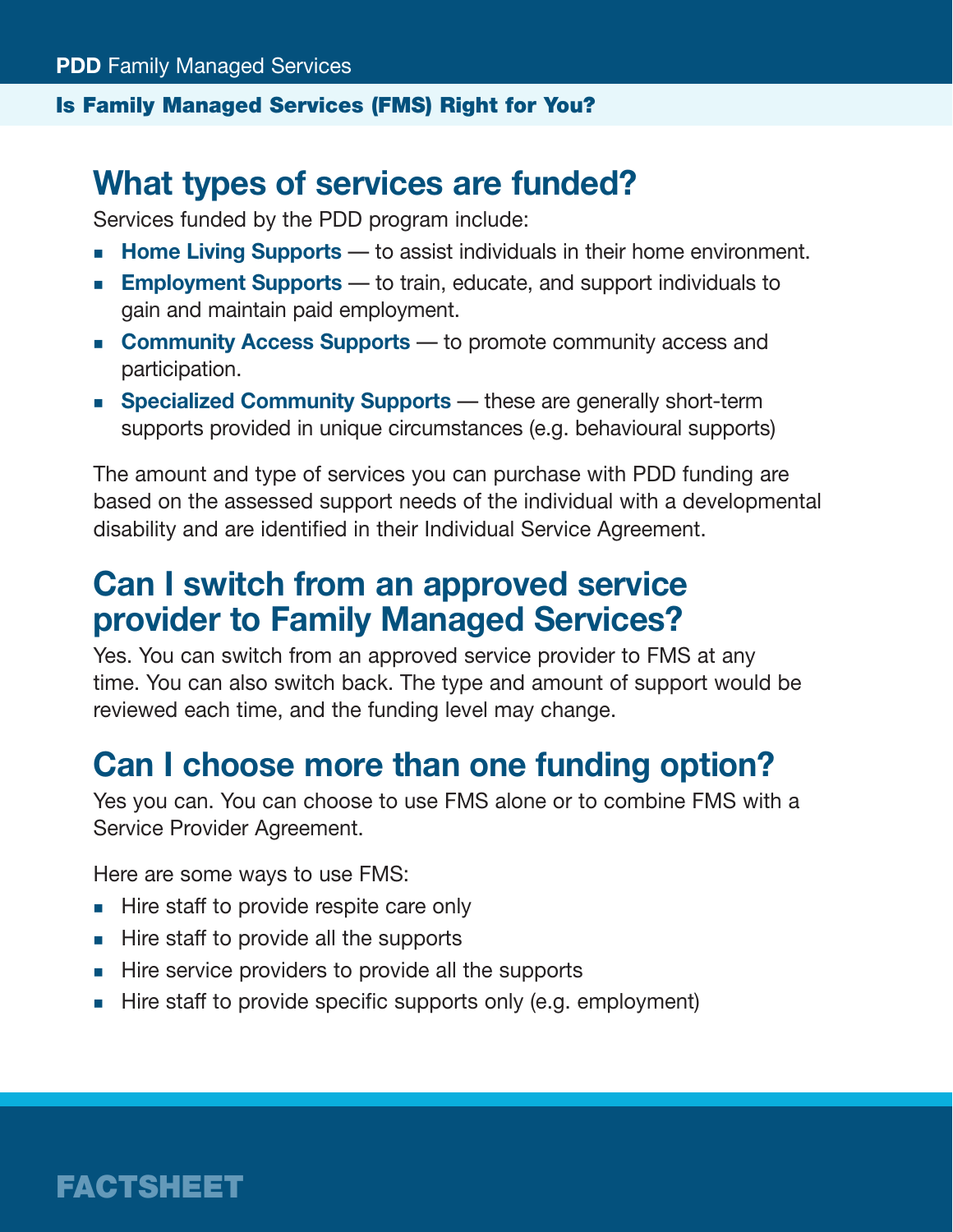#### Is Family Managed Services (FMS) Right for You?

### **What types of services are funded?**

Services funded by the PDD program include:

- **Home Living Supports** to assist individuals in their home environment.
- **Employment Supports** to train, educate, and support individuals to gain and maintain paid employment.
- **Community Access Supports** to promote community access and participation.
- **Specialized Community Supports** these are generally short-term supports provided in unique circumstances (e.g. behavioural supports)

The amount and type of services you can purchase with PDD funding are based on the assessed support needs of the individual with a developmental disability and are identified in their Individual Service Agreement.

# **Can I switch from an approved service provider to Family Managed Services?**

Yes. You can switch from an approved service provider to FMS at any time. You can also switch back. The type and amount of support would be reviewed each time, and the funding level may change.

# **Can I choose more than one funding option?**

Yes you can. You can choose to use FMS alone or to combine FMS with a Service Provider Agreement.

Here are some ways to use FMS:

- Hire staff to provide respite care only
- $\blacksquare$  Hire staff to provide all the supports
- Hire service providers to provide all the supports
- $\blacksquare$  Hire staff to provide specific supports only (e.g. employment)

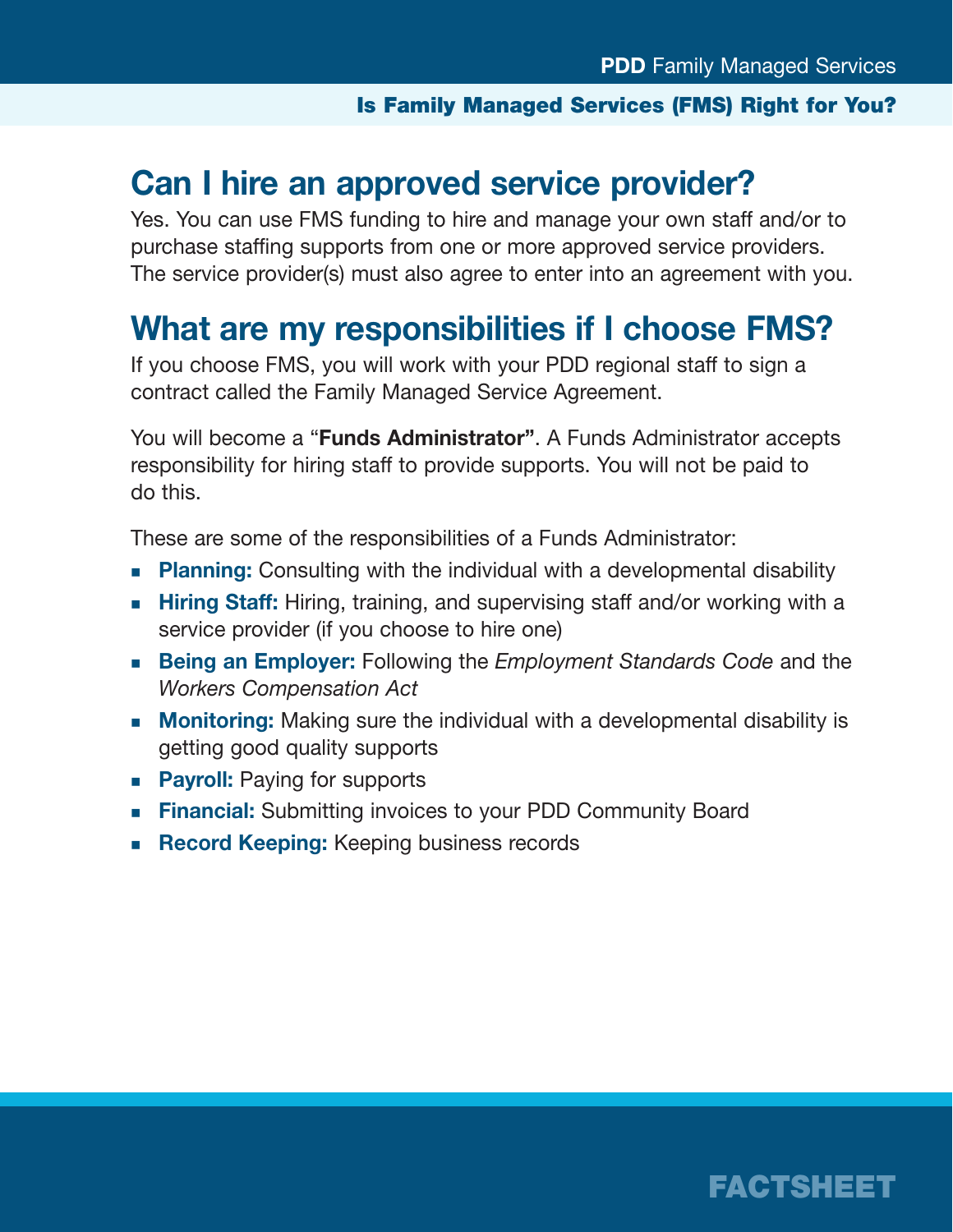#### Is Family Managed Services (FMS) Right for You?

### **Can I hire an approved service provider?**

Yes. You can use FMS funding to hire and manage your own staff and/or to purchase staffing supports from one or more approved service providers. The service provider(s) must also agree to enter into an agreement with you.

### **What are my responsibilities if I choose FMS?**

If you choose FMS, you will work with your PDD regional staff to sign a contract called the Family Managed Service Agreement.

You will become a "**Funds Administrator"**. A Funds Administrator accepts responsibility for hiring staff to provide supports. You will not be paid to do this.

These are some of the responsibilities of a Funds Administrator:

- **Planning:** Consulting with the individual with a developmental disability
- **Hiring Staff:** Hiring, training, and supervising staff and/or working with a service provider (if you choose to hire one)
- **Being an Employer:** Following the *Employment Standards Code* and the *Workers Compensation Act*
- **Monitoring:** Making sure the individual with a developmental disability is getting good quality supports
- **Payroll:** Paying for supports
- **Financial:** Submitting invoices to your PDD Community Board
- **Record Keeping:** Keeping business records